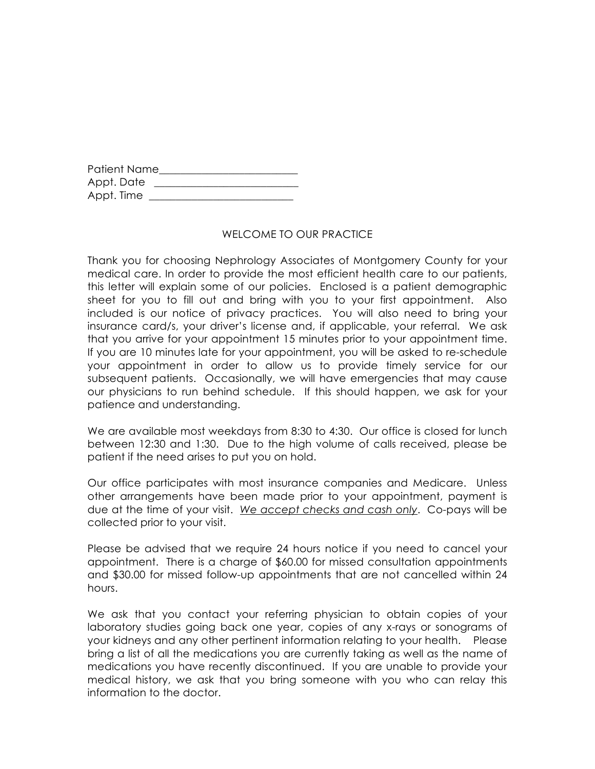| Patient Name |  |
|--------------|--|
| Appt. Date   |  |
| Appt. Time   |  |

## WELCOME TO OUR PRACTICE

Thank you for choosing Nephrology Associates of Montgomery County for your medical care. In order to provide the most efficient health care to our patients, this letter will explain some of our policies. Enclosed is a patient demographic sheet for you to fill out and bring with you to your first appointment. Also included is our notice of privacy practices. You will also need to bring your insurance card/s, your driver's license and, if applicable, your referral. We ask that you arrive for your appointment 15 minutes prior to your appointment time. If you are 10 minutes late for your appointment, you will be asked to re-schedule your appointment in order to allow us to provide timely service for our subsequent patients. Occasionally, we will have emergencies that may cause our physicians to run behind schedule. If this should happen, we ask for your patience and understanding.

We are available most weekdays from 8:30 to 4:30. Our office is closed for lunch between 12:30 and 1:30. Due to the high volume of calls received, please be patient if the need arises to put you on hold.

Our office participates with most insurance companies and Medicare. Unless other arrangements have been made prior to your appointment, payment is due at the time of your visit. *We accept checks and cash only*. Co-pays will be collected prior to your visit.

Please be advised that we require 24 hours notice if you need to cancel your appointment. There is a charge of \$60.00 for missed consultation appointments and \$30.00 for missed follow-up appointments that are not cancelled within 24 hours.

We ask that you contact your referring physician to obtain copies of your laboratory studies going back one year, copies of any x-rays or sonograms of your kidneys and any other pertinent information relating to your health. Please bring a list of all the medications you are currently taking as well as the name of medications you have recently discontinued. If you are unable to provide your medical history, we ask that you bring someone with you who can relay this information to the doctor.